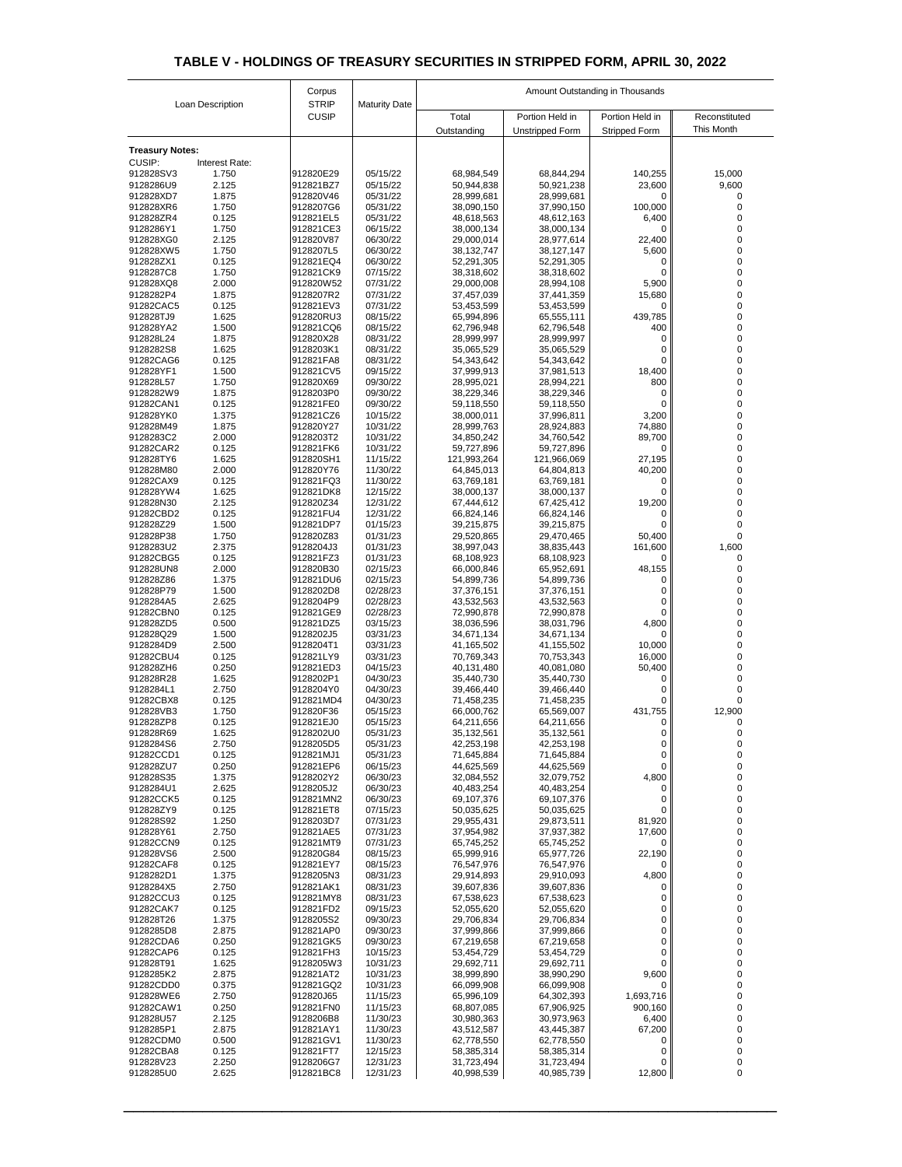| Loan Description                        |                | Corpus                       |                      | Amount Outstanding in Thousands |                                           |                                         |                             |  |
|-----------------------------------------|----------------|------------------------------|----------------------|---------------------------------|-------------------------------------------|-----------------------------------------|-----------------------------|--|
|                                         |                | <b>STRIP</b><br><b>CUSIP</b> | <b>Maturity Date</b> | Total<br>Outstanding            | Portion Held in<br><b>Unstripped Form</b> | Portion Held in<br><b>Stripped Form</b> | Reconstituted<br>This Month |  |
|                                         |                |                              |                      |                                 |                                           |                                         |                             |  |
| <b>Treasury Notes:</b><br><b>CUSIP:</b> | Interest Rate: |                              |                      |                                 |                                           |                                         |                             |  |
| 912828SV3                               | 1.750          | 912820E29                    | 05/15/22             | 68,984,549                      | 68,844,294                                | 140,255                                 | 15,000                      |  |
| 9128286U9                               | 2.125          | 912821BZ7                    | 05/15/22             | 50,944,838                      | 50,921,238                                | 23,600                                  | 9,600                       |  |
| 912828XD7<br>912828XR6                  | 1.875<br>1.750 | 912820V46<br>9128207G6       | 05/31/22<br>05/31/22 | 28,999,681<br>38,090,150        | 28,999,681<br>37,990,150                  | 0<br>100,000                            |                             |  |
| 912828ZR4                               | 0.125          | 912821EL5                    | 05/31/22             | 48,618,563                      | 48,612,163                                | 6,400                                   |                             |  |
| 9128286Y1                               | 1.750          | 912821CE3                    | 06/15/22             | 38,000,134                      | 38,000,134                                | 0                                       |                             |  |
| 912828XG0                               | 2.125          | 912820V87                    | 06/30/22             | 29,000,014                      | 28,977,614                                | 22,400                                  |                             |  |
| 912828XW5<br>912828ZX1                  | 1.750<br>0.125 | 9128207L5<br>912821EQ4       | 06/30/22<br>06/30/22 | 38,132,747<br>52,291,305        | 38,127,147<br>52,291,305                  | 5,600<br>0                              |                             |  |
| 9128287C8                               | 1.750          | 912821CK9                    | 07/15/22             | 38,318,602                      | 38,318,602                                | 0                                       |                             |  |
| 912828XQ8                               | 2.000          | 912820W52                    | 07/31/22             | 29,000,008                      | 28,994,108                                | 5,900                                   |                             |  |
| 9128282P4                               | 1.875<br>0.125 | 9128207R2<br>912821EV3       | 07/31/22<br>07/31/22 | 37,457,039                      | 37,441,359                                | 15,680                                  |                             |  |
| 91282CAC5<br>912828TJ9                  | 1.625          | 912820RU3                    | 08/15/22             | 53,453,599<br>65,994,896        | 53,453,599<br>65,555,111                  | 0<br>439,785                            |                             |  |
| 912828YA2                               | 1.500          | 912821CQ6                    | 08/15/22             | 62,796,948                      | 62,796,548                                | 400                                     | 0                           |  |
| 912828L24                               | 1.875          | 912820X28                    | 08/31/22             | 28,999,997                      | 28,999,997                                | $\mathbf 0$                             |                             |  |
| 9128282S8<br>91282CAG6                  | 1.625<br>0.125 | 9128203K1<br>912821FA8       | 08/31/22<br>08/31/22 | 35,065,529<br>54,343,642        | 35,065,529<br>54,343,642                  | 0<br>$\overline{0}$                     | 0                           |  |
| 912828YF1                               | 1.500          | 912821CV5                    | 09/15/22             | 37,999,913                      | 37,981,513                                | 18,400                                  |                             |  |
| 912828L57                               | 1.750          | 912820X69                    | 09/30/22             | 28,995,021                      | 28,994,221                                | 800                                     | 0                           |  |
| 9128282W9                               | 1.875          | 9128203P0                    | 09/30/22             | 38,229,346                      | 38,229,346                                | 0                                       |                             |  |
| 91282CAN1<br>912828YK0                  | 0.125<br>1.375 | 912821FE0<br>912821CZ6       | 09/30/22<br>10/15/22 | 59,118,550<br>38,000,011        | 59,118,550<br>37,996,811                  | $\mathbf 0$<br>3,200                    |                             |  |
| 912828M49                               | 1.875          | 912820Y27                    | 10/31/22             | 28,999,763                      | 28,924,883                                | 74,880                                  |                             |  |
| 9128283C2                               | 2.000          | 9128203T2                    | 10/31/22             | 34,850,242                      | 34,760,542                                | 89,700                                  |                             |  |
| 91282CAR2                               | 0.125          | 912821FK6                    | 10/31/22             | 59,727,896                      | 59,727,896                                | $\mathbf 0$                             |                             |  |
| 912828TY6<br>912828M80                  | 1.625<br>2.000 | 912820SH1<br>912820Y76       | 11/15/22<br>11/30/22 | 121,993,264<br>64,845,013       | 121,966,069<br>64,804,813                 | 27,195<br>40,200                        |                             |  |
| 91282CAX9                               | 0.125          | 912821FQ3                    | 11/30/22             | 63,769,181                      | 63,769,181                                | 0                                       |                             |  |
| 912828YW4                               | 1.625          | 912821DK8                    | 12/15/22             | 38,000,137                      | 38,000,137                                | 0                                       |                             |  |
| 912828N30                               | 2.125<br>0.125 | 912820Z34                    | 12/31/22             | 67,444,612                      | 67,425,412                                | 19,200                                  |                             |  |
| 91282CBD2<br>912828Z29                  | 1.500          | 912821FU4<br>912821DP7       | 12/31/22<br>01/15/23 | 66,824,146<br>39,215,875        | 66,824,146<br>39,215,875                  | 0<br>0                                  |                             |  |
| 912828P38                               | 1.750          | 912820Z83                    | 01/31/23             | 29,520,865                      | 29,470,465                                | 50,400                                  |                             |  |
| 9128283U2                               | 2.375          | 9128204J3                    | 01/31/23             | 38,997,043                      | 38,835,443                                | 161,600                                 | 1,600                       |  |
| 91282CBG5<br>912828UN8                  | 0.125<br>2.000 | 912821FZ3<br>912820B30       | 01/31/23<br>02/15/23 | 68,108,923<br>66,000,846        | 68,108,923<br>65,952,691                  | 0<br>48,155                             |                             |  |
| 912828Z86                               | 1.375          | 912821DU6                    | 02/15/23             | 54,899,736                      | 54,899,736                                | 0                                       |                             |  |
| 912828P79                               | 1.500          | 9128202D8                    | 02/28/23             | 37,376,151                      | 37,376,151                                | 0                                       |                             |  |
| 9128284A5                               | 2.625          | 9128204P9                    | 02/28/23             | 43,532,563                      | 43,532,563                                | 0                                       |                             |  |
| 91282CBN0<br>912828ZD5                  | 0.125<br>0.500 | 912821GE9<br>912821DZ5       | 02/28/23<br>03/15/23 | 72,990,878<br>38,036,596        | 72,990,878<br>38,031,796                  | 0<br>4,800                              |                             |  |
| 912828Q29                               | 1.500          | 9128202J5                    | 03/31/23             | 34,671,134                      | 34,671,134                                | $\overline{0}$                          |                             |  |
| 9128284D9                               | 2.500          | 9128204T1                    | 03/31/23             | 41,165,502                      | 41,155,502                                | 10,000                                  |                             |  |
| 91282CBU4                               | 0.125          | 912821LY9                    | 03/31/23             | 70,769,343                      | 70,753,343                                | 16,000                                  |                             |  |
| 912828ZH6<br>912828R28                  | 0.250<br>1.625 | 912821ED3<br>9128202P1       | 04/15/23<br>04/30/23 | 40,131,480<br>35,440,730        | 40,081,080<br>35,440,730                  | 50,400<br>0                             |                             |  |
| 9128284L1                               | 2.750          | 9128204Y0                    | 04/30/23             | 39,466,440                      | 39,466,440                                | 0                                       |                             |  |
| 91282CBX8                               | 0.125          | 912821MD4                    | 04/30/23             | 71,458,235                      | 71,458,235                                | 0                                       |                             |  |
| 912828VB3<br>912828ZP8                  | 1.750<br>0.125 | 912820F36<br>912821EJ0       | 05/15/23<br>05/15/23 | 66,000,762<br>64,211,656        | 65,569,007<br>64,211,656                  | 431,755<br>0                            | 12,900                      |  |
| 912828R69                               | 1.625          | 9128202U0                    | 05/31/23             | 35,132,561                      | 35,132,561                                | 0                                       |                             |  |
| 9128284S6                               | 2.750          | 9128205D5                    | 05/31/23             | 42,253,198                      | 42,253,198                                | 0                                       |                             |  |
| 91282CCD1                               | 0.125          | 912821MJ1                    | 05/31/23             | 71,645,884                      | 71,645,884                                | 0                                       |                             |  |
| 912828ZU7<br>912828S35                  | 0.250<br>1.375 | 912821EP6<br>9128202Y2       | 06/15/23<br>06/30/23 | 44,625,569<br>32,084,552        | 44,625,569<br>32,079,752                  | $\overline{0}$<br>4,800                 | $\Omega$                    |  |
| 9128284U1                               | 2.625          | 9128205J2                    | 06/30/23             | 40,483,254                      | 40,483,254                                | $\mathbf 0$                             |                             |  |
| 91282CCK5                               | 0.125          | 912821MN2                    | 06/30/23             | 69,107,376                      | 69,107,376                                | 0                                       |                             |  |
| 912828ZY9<br>912828S92                  | 0.125<br>1.250 | 912821ET8<br>9128203D7       | 07/15/23<br>07/31/23 | 50,035,625                      | 50,035,625                                | $\overline{0}$                          |                             |  |
| 912828Y61                               | 2.750          | 912821AE5                    | 07/31/23             | 29,955,431<br>37,954,982        | 29,873,511<br>37,937,382                  | 81,920<br>17,600                        |                             |  |
| 91282CCN9                               | 0.125          | 912821MT9                    | 07/31/23             | 65,745,252                      | 65,745,252                                | $\overline{0}$                          |                             |  |
| 912828VS6                               | 2.500          | 912820G84                    | 08/15/23             | 65,999,916                      | 65,977,726                                | 22,190                                  |                             |  |
| 91282CAF8<br>9128282D1                  | 0.125<br>1.375 | 912821EY7<br>9128205N3       | 08/15/23<br>08/31/23 | 76,547,976<br>29,914,893        | 76,547,976<br>29,910,093                  | $\overline{0}$                          |                             |  |
| 9128284X5                               | 2.750          | 912821AK1                    | 08/31/23             | 39,607,836                      | 39,607,836                                | 4,800<br>0                              |                             |  |
| 91282CCU3                               | 0.125          | 912821MY8                    | 08/31/23             | 67,538,623                      | 67,538,623                                | 0                                       |                             |  |
| 91282CAK7                               | 0.125          | 912821FD2                    | 09/15/23             | 52,055,620                      | 52,055,620                                | 0                                       |                             |  |
| 912828T26<br>9128285D8                  | 1.375<br>2.875 | 9128205S2<br>912821AP0       | 09/30/23<br>09/30/23 | 29,706,834<br>37,999,866        | 29,706,834<br>37,999,866                  | 0<br>0                                  |                             |  |
| 91282CDA6                               | 0.250          | 912821GK5                    | 09/30/23             | 67,219,658                      | 67,219,658                                | 0                                       |                             |  |
| 91282CAP6                               | 0.125          | 912821FH3                    | 10/15/23             | 53,454,729                      | 53,454,729                                | 0                                       |                             |  |
| 912828T91                               | 1.625          | 9128205W3                    | 10/31/23             | 29,692,711                      | 29,692,711                                | 0                                       |                             |  |
| 9128285K2<br>91282CDD0                  | 2.875<br>0.375 | 912821AT2<br>912821GQ2       | 10/31/23<br>10/31/23 | 38,999,890<br>66,099,908        | 38,990,290<br>66,099,908                  | 9,600<br>$\overline{0}$                 |                             |  |
| 912828WE6                               | 2.750          | 912820J65                    | 11/15/23             | 65,996,109                      | 64,302,393                                | 1,693,716                               |                             |  |
| 91282CAW1                               | 0.250          | 912821FN0                    | 11/15/23             | 68,807,085                      | 67,906,925                                | 900,160                                 | 0                           |  |
| 912828U57                               | 2.125          | 9128206B8                    | 11/30/23             | 30,980,363                      | 30,973,963                                | 6,400                                   |                             |  |
| 9128285P1<br>91282CDM0                  | 2.875<br>0.500 | 912821AY1<br>912821GV1       | 11/30/23<br>11/30/23 | 43,512,587<br>62,778,550        | 43,445,387<br>62,778,550                  | 67,200<br>0                             |                             |  |
| 91282CBA8                               | 0.125          | 912821FT7                    | 12/15/23             | 58,385,314                      | 58,385,314                                | 0                                       |                             |  |
| 912828V23                               | 2.250          | 9128206G7                    | 12/31/23             | 31,723,494                      | 31,723,494                                | $\overline{0}$                          | $\Omega$                    |  |
| 9128285U0                               | 2.625          | 912821BC8                    | 12/31/23             | 40,998,539                      | 40,985,739                                | 12,800                                  | 0                           |  |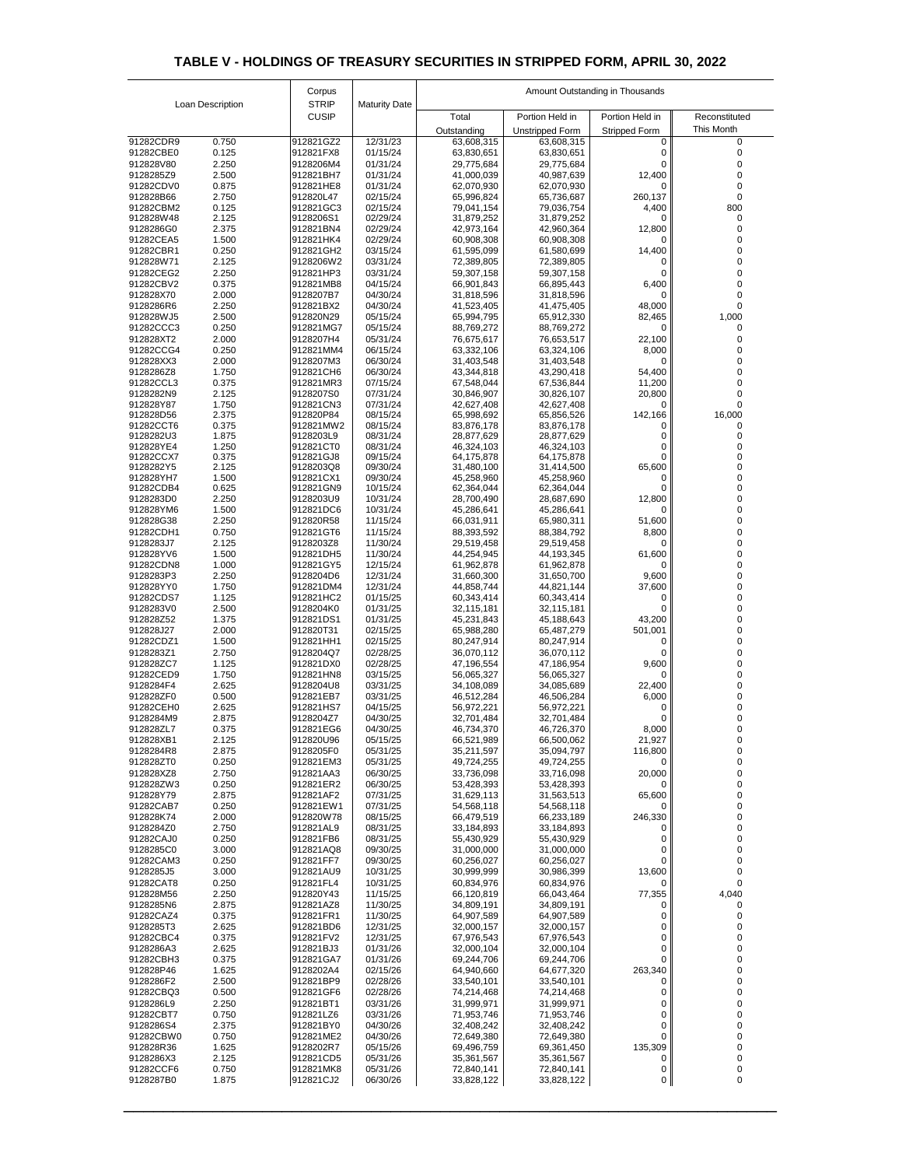| Loan Description       |                | Corpus                       |                      |                          | Amount Outstanding in Thousands |                      |               |  |  |
|------------------------|----------------|------------------------------|----------------------|--------------------------|---------------------------------|----------------------|---------------|--|--|
|                        |                | <b>STRIP</b><br><b>CUSIP</b> | <b>Maturity Date</b> | Total                    | Portion Held in                 | Portion Held in      | Reconstituted |  |  |
|                        |                |                              |                      | Outstanding              | <b>Unstripped Form</b>          | <b>Stripped Form</b> | This Month    |  |  |
| 91282CDR9              | 0.750          | 912821GZ2                    | 12/31/23             | 63,608,315               | 63,608,315                      |                      |               |  |  |
| 91282CBE0              | 0.125          | 912821FX8                    | 01/15/24             | 63,830,651               | 63,830,651                      | 0                    |               |  |  |
| 912828V80<br>9128285Z9 | 2.250<br>2.500 | 9128206M4<br>912821BH7       | 01/31/24<br>01/31/24 | 29,775,684<br>41,000,039 | 29,775,684<br>40,987,639        | ი<br>12,400          |               |  |  |
| 91282CDV0              | 0.875          | 912821HE8                    | 01/31/24             | 62,070,930               | 62,070,930                      | 0                    |               |  |  |
| 912828B66              | 2.750          | 912820L47                    | 02/15/24             | 65,996,824               | 65,736,687                      | 260,137              |               |  |  |
| 91282CBM2              | 0.125          | 912821GC3                    | 02/15/24             | 79,041,154               | 79,036,754                      | 4,400                | 800           |  |  |
| 912828W48<br>9128286G0 | 2.125<br>2.375 | 9128206S1<br>912821BN4       | 02/29/24<br>02/29/24 | 31,879,252<br>42,973,164 | 31,879,252<br>42,960,364        | $\Omega$<br>12,800   |               |  |  |
| 91282CEA5              | 1.500          | 912821HK4                    | 02/29/24             | 60,908,308               | 60,908,308                      | 0                    |               |  |  |
| 91282CBR1              | 0.250          | 912821GH2                    | 03/15/24             | 61,595,099               | 61,580,699                      | 14,400               |               |  |  |
| 912828W71              | 2.125          | 9128206W2                    | 03/31/24             | 72,389,805               | 72,389,805                      |                      |               |  |  |
| 91282CEG2<br>91282CBV2 | 2.250<br>0.375 | 912821HP3<br>912821MB8       | 03/31/24<br>04/15/24 | 59,307,158<br>66,901,843 | 59,307,158<br>66,895,443        | 0<br>6,400           |               |  |  |
| 912828X70              | 2.000          | 9128207B7                    | 04/30/24             | 31,818,596               | 31,818,596                      | 0                    |               |  |  |
| 9128286R6              | 2.250          | 912821BX2                    | 04/30/24             | 41,523,405               | 41,475,405                      | 48,000               |               |  |  |
| 912828WJ5<br>91282CCC3 | 2.500<br>0.250 | 912820N29<br>912821MG7       | 05/15/24<br>05/15/24 | 65,994,795<br>88,769,272 | 65,912,330<br>88,769,272        | 82,465<br>0          | 1,000         |  |  |
| 912828XT2              | 2.000          | 9128207H4                    | 05/31/24             | 76,675,617               | 76,653,517                      | 22,100               |               |  |  |
| 91282CCG4              | 0.250          | 912821MM4                    | 06/15/24             | 63,332,106               | 63,324,106                      | 8,000                |               |  |  |
| 912828XX3              | 2.000          | 9128207M3                    | 06/30/24             | 31,403,548               | 31,403,548                      | 0                    |               |  |  |
| 9128286Z8<br>91282CCL3 | 1.750<br>0.375 | 912821CH6<br>912821MR3       | 06/30/24<br>07/15/24 | 43,344,818               | 43,290,418<br>67,536,844        | 54,400               |               |  |  |
| 9128282N9              | 2.125          | 9128207S0                    | 07/31/24             | 67,548,044<br>30,846,907 | 30,826,107                      | 11,200<br>20,800     |               |  |  |
| 912828Y87              | 1.750          | 912821CN3                    | 07/31/24             | 42,627,408               | 42,627,408                      | 0                    |               |  |  |
| 912828D56              | 2.375          | 912820P84                    | 08/15/24             | 65,998,692               | 65,856,526                      | 142,166              | 16,000        |  |  |
| 91282CCT6<br>9128282U3 | 0.375<br>1.875 | 912821MW2<br>9128203L9       | 08/15/24<br>08/31/24 | 83,876,178<br>28,877,629 | 83,876,178<br>28,877,629        | 0<br>0               | 0             |  |  |
| 912828YE4              | 1.250          | 912821CT0                    | 08/31/24             | 46,324,103               | 46,324,103                      | 0                    |               |  |  |
| 91282CCX7              | 0.375          | 912821GJ8                    | 09/15/24             | 64,175,878               | 64,175,878                      | 0                    |               |  |  |
| 9128282Y5<br>912828YH7 | 2.125<br>1.500 | 9128203Q8<br>912821CX1       | 09/30/24<br>09/30/24 | 31,480,100<br>45,258,960 | 31,414,500<br>45,258,960        | 65,600               |               |  |  |
| 91282CDB4              | 0.625          | 912821GN9                    | 10/15/24             | 62,364,044               | 62,364,044                      |                      |               |  |  |
| 9128283D0              | 2.250          | 9128203U9                    | 10/31/24             | 28,700,490               | 28,687,690                      | 12,800               |               |  |  |
| 912828YM6              | 1.500          | 912821DC6                    | 10/31/24             | 45,286,641               | 45,286,641                      | $\Omega$             |               |  |  |
| 912828G38<br>91282CDH1 | 2.250<br>0.750 | 912820R58<br>912821GT6       | 11/15/24<br>11/15/24 | 66,031,911<br>88,393,592 | 65,980,311<br>88,384,792        | 51,600<br>8,800      |               |  |  |
| 9128283J7              | 2.125          | 9128203Z8                    | 11/30/24             | 29,519,458               | 29,519,458                      | 0                    |               |  |  |
| 912828YV6              | 1.500          | 912821DH5                    | 11/30/24             | 44,254,945               | 44,193,345                      | 61,600               |               |  |  |
| 91282CDN8<br>9128283P3 | 1.000<br>2.250 | 912821GY5<br>9128204D6       | 12/15/24<br>12/31/24 | 61,962,878<br>31,660,300 | 61,962,878<br>31,650,700        | $\Omega$<br>9,600    |               |  |  |
| 912828YY0              | 1.750          | 912821DM4                    | 12/31/24             | 44,858,744               | 44,821,144                      | 37,600               |               |  |  |
| 91282CDS7              | 1.125          | 912821HC2                    | 01/15/25             | 60,343,414               | 60,343,414                      | $\Omega$             |               |  |  |
| 9128283V0              | 2.500          | 9128204K0                    | 01/31/25             | 32,115,181               | 32,115,181                      |                      |               |  |  |
| 912828Z52              | 1.375<br>2.000 | 912821DS1<br>912820T31       | 01/31/25<br>02/15/25 | 45,231,843               | 45,188,643                      | 43,200               |               |  |  |
| 912828J27<br>91282CDZ1 | 1.500          | 912821HH1                    | 02/15/25             | 65,988,280<br>80,247,914 | 65,487,279<br>80,247,914        | 501,001<br>$\Omega$  |               |  |  |
| 9128283Z1              | 2.750          | 9128204Q7                    | 02/28/25             | 36,070,112               | 36,070,112                      | $\mathbf{0}$         |               |  |  |
| 912828ZC7              | 1.125          | 912821DX0                    | 02/28/25             | 47,196,554               | 47,186,954                      | 9,600                |               |  |  |
| 91282CED9<br>9128284F4 | 1.750<br>2.625 | 912821HN8<br>9128204U8       | 03/15/25<br>03/31/25 | 56,065,327<br>34,108,089 | 56,065,327                      | $\Omega$<br>22,400   |               |  |  |
| 912828ZF0              | 0.500          | 912821EB7                    | 03/31/25             | 46,512,284               | 34,085,689<br>46,506,284        | 6,000                |               |  |  |
| 91282CEH0              | 2.625          | 912821HS7                    | 04/15/25             | 56,972,221               | 56,972,221                      |                      |               |  |  |
| 9128284M9              | 2.875          | 9128204Z7                    | 04/30/25             | 32,701,484               | 32,701,484                      |                      |               |  |  |
| 912828ZL7<br>912828XB1 | 0.375<br>2.125 | 912821EG6<br>912820U96       | 04/30/25<br>05/15/25 | 46,734,370<br>66,521,989 | 46,726,370<br>66,500,062        | 8,000<br>21,927      |               |  |  |
| 9128284R8              | 2.875          | 9128205F0                    | 05/31/25             | 35,211,597               | 35,094,797                      | 116,800              |               |  |  |
| 912828ZT0              | 0.250          | 912821EM3                    | 05/31/25             | 49,724,255               | 49,724,255                      | 0                    | $\Omega$      |  |  |
| 912828XZ8              | 2.750          | 912821AA3                    | 06/30/25             | 33,736,098               | 33,716,098                      | 20,000               |               |  |  |
| 912828ZW3<br>912828Y79 | 0.250<br>2.875 | 912821ER2<br>912821AF2       | 06/30/25<br>07/31/25 | 53,428,393<br>31,629,113 | 53,428,393<br>31,563,513        | 0<br>65,600          |               |  |  |
| 91282CAB7              | 0.250          | 912821EW1                    | 07/31/25             | 54,568,118               | 54,568,118                      | 0                    |               |  |  |
| 912828K74              | 2.000          | 912820W78                    | 08/15/25             | 66,479,519               | 66,233,189                      | 246,330              |               |  |  |
| 9128284Z0              | 2.750          | 912821AL9                    | 08/31/25             | 33,184,893               | 33,184,893                      | $\Omega$             |               |  |  |
| 91282CAJ0<br>9128285C0 | 0.250<br>3.000 | 912821FB6<br>912821AQ8       | 08/31/25<br>09/30/25 | 55,430,929<br>31,000,000 | 55,430,929<br>31,000,000        |                      |               |  |  |
| 91282CAM3              | 0.250          | 912821FF7                    | 09/30/25             | 60,256,027               | 60,256,027                      | 0                    |               |  |  |
| 9128285J5              | 3.000          | 912821AU9                    | 10/31/25             | 30,999,999               | 30,986,399                      | 13,600               |               |  |  |
| 91282CAT8              | 0.250          | 912821FL4                    | 10/31/25             | 60,834,976               | 60,834,976                      | 0                    |               |  |  |
| 912828M56<br>9128285N6 | 2.250<br>2.875 | 912820Y43<br>912821AZ8       | 11/15/25<br>11/30/25 | 66,120,819<br>34,809,191 | 66,043,464<br>34,809,191        | 77,355               | 4,040         |  |  |
| 91282CAZ4              | 0.375          | 912821FR1                    | 11/30/25             | 64,907,589               | 64,907,589                      |                      |               |  |  |
| 9128285T3              | 2.625          | 912821BD6                    | 12/31/25             | 32,000,157               | 32,000,157                      | 0                    |               |  |  |
| 91282CBC4              | 0.375          | 912821FV2                    | 12/31/25             | 67,976,543               | 67,976,543                      | 0                    |               |  |  |
| 9128286A3<br>91282CBH3 | 2.625<br>0.375 | 912821BJ3<br>912821GA7       | 01/31/26<br>01/31/26 | 32,000,104<br>69,244,706 | 32,000,104<br>69,244,706        | 0<br>0               |               |  |  |
| 912828P46              | 1.625          | 9128202A4                    | 02/15/26             | 64,940,660               | 64,677,320                      | 263,340              |               |  |  |
| 9128286F2              | 2.500          | 912821BP9                    | 02/28/26             | 33,540,101               | 33,540,101                      | 0                    |               |  |  |
| 91282CBQ3              | 0.500          | 912821GF6                    | 02/28/26             | 74,214,468               | 74,214,468                      |                      |               |  |  |
| 9128286L9<br>91282CBT7 | 2.250<br>0.750 | 912821BT1<br>912821LZ6       | 03/31/26<br>03/31/26 | 31,999,971<br>71,953,746 | 31,999,971<br>71,953,746        | 0<br>0               |               |  |  |
| 9128286S4              | 2.375          | 912821BY0                    | 04/30/26             | 32,408,242               | 32,408,242                      | 0                    |               |  |  |
| 91282CBW0              | 0.750          | 912821ME2                    | 04/30/26             | 72,649,380               | 72,649,380                      | 0                    |               |  |  |
| 912828R36              | 1.625          | 9128202R7                    | 05/15/26             | 69,496,759               | 69,361,450                      | 135,309              |               |  |  |
| 9128286X3<br>91282CCF6 | 2.125<br>0.750 | 912821CD5<br>912821MK8       | 05/31/26<br>05/31/26 | 35,361,567<br>72,840,141 | 35,361,567<br>72,840,141        | $\Omega$<br>0        |               |  |  |
| 9128287B0              | 1.875          | 912821CJ2                    | 06/30/26             | 33,828,122               | 33,828,122                      | 0                    | 0             |  |  |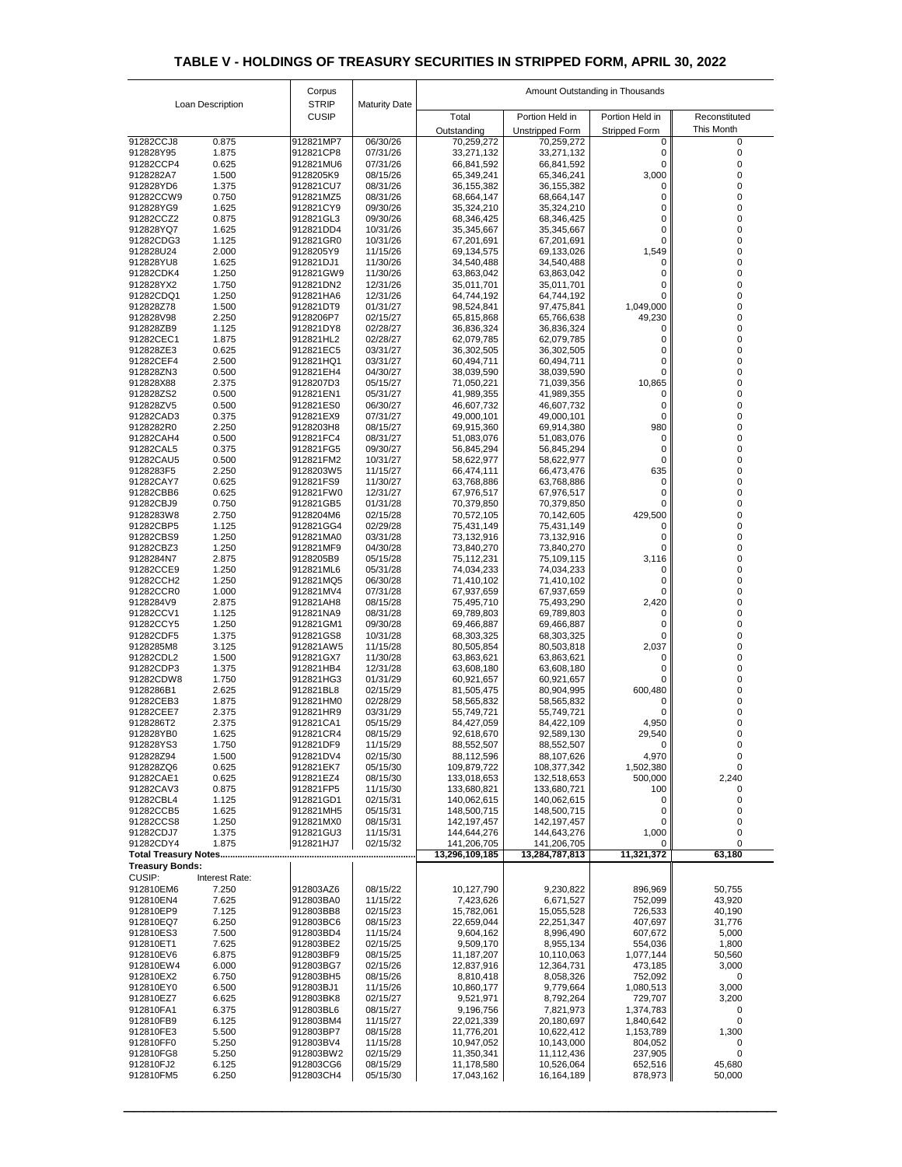|                             |                         | Corpus                       |                      | Amount Outstanding in Thousands |                            |                      |                  |  |
|-----------------------------|-------------------------|------------------------------|----------------------|---------------------------------|----------------------------|----------------------|------------------|--|
|                             | <b>Loan Description</b> | <b>STRIP</b><br><b>CUSIP</b> | <b>Maturity Date</b> | Total                           | Portion Held in            | Portion Held in      | Reconstituted    |  |
|                             |                         |                              |                      | Outstanding                     | <b>Unstripped Form</b>     | <b>Stripped Form</b> | This Month       |  |
| 91282CCJ8                   | 0.875                   | 912821MP7                    | 06/30/26             | 70,259,272                      | 70,259,272                 |                      | 0                |  |
| 912828Y95                   | 1.875                   | 912821CP8                    | 07/31/26             | 33,271,132                      | 33,271,132                 |                      |                  |  |
| 91282CCP4                   | 0.625                   | 912821MU6                    | 07/31/26             | 66,841,592                      | 66,841,592                 | 0                    |                  |  |
| 9128282A7<br>912828YD6      | 1.500<br>1.375          | 9128205K9<br>912821CU7       | 08/15/26<br>08/31/26 | 65,349,241<br>36,155,382        | 65,346,241<br>36, 155, 382 | 3,000<br>0           | O                |  |
| 91282CCW9                   | 0.750                   | 912821MZ5                    | 08/31/26             | 68,664,147                      | 68,664,147                 |                      |                  |  |
| 912828YG9                   | 1.625                   | 912821CY9                    | 09/30/26             | 35,324,210                      | 35,324,210                 | ი                    |                  |  |
| 91282CCZ2                   | 0.875                   | 912821GL3                    | 09/30/26             | 68,346,425                      | 68,346,425                 | 0                    |                  |  |
| 912828YQ7                   | 1.625                   | 912821DD4                    | 10/31/26             | 35,345,667                      | 35,345,667                 | 0                    |                  |  |
| 91282CDG3                   | 1.125                   | 912821GR0                    | 10/31/26             | 67,201,691                      | 67,201,691                 |                      |                  |  |
| 912828U24<br>912828YU8      | 2.000<br>1.625          | 9128205Y9<br>912821DJ1       | 11/15/26<br>11/30/26 | 69,134,575<br>34,540,488        | 69,133,026<br>34,540,488   | 1,549<br>0           |                  |  |
| 91282CDK4                   | 1.250                   | 912821GW9                    | 11/30/26             | 63,863,042                      | 63,863,042                 |                      |                  |  |
| 912828YX2                   | 1.750                   | 912821DN2                    | 12/31/26             | 35,011,701                      | 35,011,701                 |                      |                  |  |
| 91282CDQ1                   | 1.250                   | 912821HA6                    | 12/31/26             | 64,744,192                      | 64,744,192                 |                      |                  |  |
| 912828Z78                   | 1.500                   | 912821DT9                    | 01/31/27             | 98,524,841                      | 97,475,841                 | 1,049,000            |                  |  |
| 912828V98                   | 2.250                   | 9128206P7                    | 02/15/27             | 65,815,868                      | 65,766,638                 | 49,230               |                  |  |
| 912828ZB9<br>91282CEC1      | 1.125<br>1.875          | 912821DY8<br>912821HL2       | 02/28/27<br>02/28/27 | 36,836,324<br>62,079,785        | 36,836,324<br>62,079,785   | 0                    |                  |  |
| 912828ZE3                   | 0.625                   | 912821EC5                    | 03/31/27             | 36,302,505                      | 36,302,505                 |                      |                  |  |
| 91282CEF4                   | 2.500                   | 912821HQ1                    | 03/31/27             | 60,494,711                      | 60,494,711                 | 0                    |                  |  |
| 912828ZN3                   | 0.500                   | 912821EH4                    | 04/30/27             | 38,039,590                      | 38,039,590                 |                      |                  |  |
| 912828X88                   | 2.375                   | 9128207D3                    | 05/15/27             | 71,050,221                      | 71,039,356                 | 10,865               |                  |  |
| 912828ZS2                   | 0.500                   | 912821EN1                    | 05/31/27             | 41,989,355                      | 41,989,355                 | 0                    |                  |  |
| 912828ZV5<br>91282CAD3      | 0.500<br>0.375          | 912821ES0<br>912821EX9       | 06/30/27<br>07/31/27 | 46,607,732<br>49,000,101        | 46,607,732<br>49,000,101   |                      |                  |  |
| 9128282R0                   | 2.250                   | 9128203H8                    | 08/15/27             | 69,915,360                      | 69,914,380                 | 980                  |                  |  |
| 91282CAH4                   | 0.500                   | 912821FC4                    | 08/31/27             | 51,083,076                      | 51,083,076                 | 0                    |                  |  |
| 91282CAL5                   | 0.375                   | 912821FG5                    | 09/30/27             | 56,845,294                      | 56,845,294                 |                      |                  |  |
| 91282CAU5                   | 0.500                   | 912821FM2                    | 10/31/27             | 58,622,977                      | 58,622,977                 | 0                    |                  |  |
| 9128283F5                   | 2.250                   | 9128203W5                    | 11/15/27             | 66,474,111                      | 66,473,476                 | 635                  |                  |  |
| 91282CAY7                   | 0.625                   | 912821FS9                    | 11/30/27             | 63,768,886                      | 63,768,886                 | 0                    |                  |  |
| 91282CBB6<br>91282CBJ9      | 0.625<br>0.750          | 912821FW0<br>912821GB5       | 12/31/27<br>01/31/28 | 67,976,517<br>70,379,850        | 67,976,517<br>70,379,850   |                      |                  |  |
| 9128283W8                   | 2.750                   | 9128204M6                    | 02/15/28             | 70,572,105                      | 70,142,605                 | 429,500              |                  |  |
| 91282CBP5                   | 1.125                   | 912821GG4                    | 02/29/28             | 75,431,149                      | 75,431,149                 |                      |                  |  |
| 91282CBS9                   | 1.250                   | 912821MA0                    | 03/31/28             | 73,132,916                      | 73,132,916                 |                      |                  |  |
| 91282CBZ3                   | 1.250                   | 912821MF9                    | 04/30/28             | 73,840,270                      | 73,840,270                 |                      |                  |  |
| 9128284N7                   | 2.875                   | 9128205B9                    | 05/15/28             | 75,112,231                      | 75,109,115                 | 3,116                |                  |  |
| 91282CCE9<br>91282CCH2      | 1.250<br>1.250          | 912821ML6<br>912821MQ5       | 05/31/28<br>06/30/28 | 74,034,233<br>71,410,102        | 74,034,233<br>71,410,102   | 0                    |                  |  |
| 91282CCR0                   | 1.000                   | 912821MV4                    | 07/31/28             | 67,937,659                      | 67,937,659                 |                      |                  |  |
| 9128284V9                   | 2.875                   | 912821AH8                    | 08/15/28             | 75,495,710                      | 75,493,290                 | 2,420                |                  |  |
| 91282CCV1                   | 1.125                   | 912821NA9                    | 08/31/28             | 69,789,803                      | 69,789,803                 |                      |                  |  |
| 91282CCY5                   | 1.250                   | 912821GM1                    | 09/30/28             | 69,466,887                      | 69,466,887                 |                      |                  |  |
| 91282CDF5                   | 1.375                   | 912821GS8                    | 10/31/28             | 68,303,325                      | 68,303,325                 |                      |                  |  |
| 9128285M8<br>91282CDL2      | 3.125<br>1.500          | 912821AW5<br>912821GX7       | 11/15/28<br>11/30/28 | 80,505,854                      | 80,503,818                 | 2,037                |                  |  |
| 91282CDP3                   | 1.375                   | 912821HB4                    | 12/31/28             | 63,863,621<br>63,608,180        | 63,863,621<br>63,608,180   |                      |                  |  |
| 91282CDW8                   | 1.750                   | 912821HG3                    | 01/31/29             | 60,921,657                      | 60,921,657                 |                      |                  |  |
| 9128286B1                   | 2.625                   | 912821BL8                    | 02/15/29             | 81,505,475                      | 80,904,995                 | 600,480              |                  |  |
| 91282CEB3                   | 1.875                   | 912821HM0                    | 02/28/29             | 58,565,832                      | 58,565,832                 | 0                    |                  |  |
| 91282CEE7                   | 2.375                   | 912821HR9                    | 03/31/29             | 55,749,721                      | 55,749,721                 |                      |                  |  |
| 9128286T2<br>912828YB0      | 2.375<br>1.625          | 912821CA1<br>912821CR4       | 05/15/29<br>08/15/29 | 84,427,059                      | 84,422,109                 | 4,950                |                  |  |
| 912828YS3                   | 1.750                   | 912821DF9                    | 11/15/29             | 92,618,670<br>88,552,507        | 92,589,130<br>88,552,507   | 29,540<br>0          |                  |  |
| 912828Z94                   | 1.500                   | 912821DV4                    | 02/15/30             | 88,112,596                      | 88,107,626                 | 4,970                |                  |  |
| 912828ZQ6                   | 0.625                   | 912821EK7                    | 05/15/30             | 109,879,722                     | 108,377,342                | 1,502,380            |                  |  |
| 91282CAE1                   | 0.625                   | 912821EZ4                    | 08/15/30             | 133,018,653                     | 132,518,653                | 500,000              | 2,240            |  |
| 91282CAV3                   | 0.875                   | 912821FP5                    | 11/15/30             | 133,680,821                     | 133,680,721                | 100                  |                  |  |
| 91282CBL4<br>91282CCB5      | 1.125<br>1.625          | 912821GD1<br>912821MH5       | 02/15/31<br>05/15/31 | 140,062,615<br>148,500,715      | 140,062,615<br>148,500,715 | 0<br>0               |                  |  |
| 91282CCS8                   | 1.250                   | 912821MX0                    | 08/15/31             | 142,197,457                     | 142,197,457                | 0                    |                  |  |
| 91282CDJ7                   | 1.375                   | 912821GU3                    | 11/15/31             | 144,644,276                     | 144,643,276                | 1,000                |                  |  |
| 91282CDY4                   | 1.875                   | 912821HJ7                    | 02/15/32             | 141,206,705                     | 141,206,705                | $\Omega$             | $\Omega$         |  |
| <b>Total Treasury Notes</b> |                         |                              |                      | 13,296,109,185                  | 13,284,787,813             | 11,321,372           | 63,180           |  |
| <b>Treasury Bonds:</b>      |                         |                              |                      |                                 |                            |                      |                  |  |
| <b>CUSIP:</b>               | Interest Rate:          |                              |                      |                                 |                            |                      |                  |  |
| 912810EM6<br>912810EN4      | 7.250<br>7.625          | 912803AZ6<br>912803BA0       | 08/15/22<br>11/15/22 | 10,127,790<br>7,423,626         | 9,230,822<br>6,671,527     | 896,969<br>752,099   | 50,755<br>43,920 |  |
| 912810EP9                   | 7.125                   | 912803BB8                    | 02/15/23             | 15,782,061                      | 15,055,528                 | 726,533              | 40,190           |  |
| 912810EQ7                   | 6.250                   | 912803BC6                    | 08/15/23             | 22,659,044                      | 22,251,347                 | 407,697              | 31,776           |  |
| 912810ES3                   | 7.500                   | 912803BD4                    | 11/15/24             | 9,604,162                       | 8,996,490                  | 607,672              | 5,000            |  |
| 912810ET1                   | 7.625                   | 912803BE2                    | 02/15/25             | 9,509,170                       | 8,955,134                  | 554,036              | 1,800            |  |
| 912810EV6                   | 6.875                   | 912803BF9                    | 08/15/25             | 11,187,207                      | 10,110,063                 | 1,077,144            | 50,560           |  |
| 912810EW4<br>912810EX2      | 6.000<br>6.750          | 912803BG7<br>912803BH5       | 02/15/26<br>08/15/26 | 12,837,916<br>8,810,418         | 12,364,731<br>8,058,326    | 473,185<br>752,092   | 3,000<br>0       |  |
| 912810EY0                   | 6.500                   | 912803BJ1                    | 11/15/26             | 10,860,177                      | 9,779,664                  | 1,080,513            | 3,000            |  |
| 912810EZ7                   | 6.625                   | 912803BK8                    | 02/15/27             | 9,521,971                       | 8,792,264                  | 729,707              | 3,200            |  |
| 912810FA1                   | 6.375                   | 912803BL6                    | 08/15/27             | 9,196,756                       | 7,821,973                  | 1,374,783            | 0                |  |
| 912810FB9                   | 6.125                   | 912803BM4                    | 11/15/27             | 22,021,339                      | 20,180,697                 | 1,840,642            |                  |  |
| 912810FE3                   | 5.500                   | 912803BP7                    | 08/15/28             | 11,776,201                      | 10,622,412                 | 1,153,789            | 1,300            |  |
| 912810FF0                   | 5.250                   | 912803BV4                    | 11/15/28             | 10,947,052                      | 10,143,000                 | 804,052              | $\Omega$         |  |
| 912810FG8<br>912810FJ2      | 5.250<br>6.125          | 912803BW2<br>912803CG6       | 02/15/29<br>08/15/29 | 11,350,341<br>11,178,580        | 11,112,436<br>10,526,064   | 237,905<br>652,516   | 45,680           |  |
| 912810FM5                   | 6.250                   | 912803CH4                    | 05/15/30             | 17,043,162                      | 16,164,189                 | 878,973              | 50,000           |  |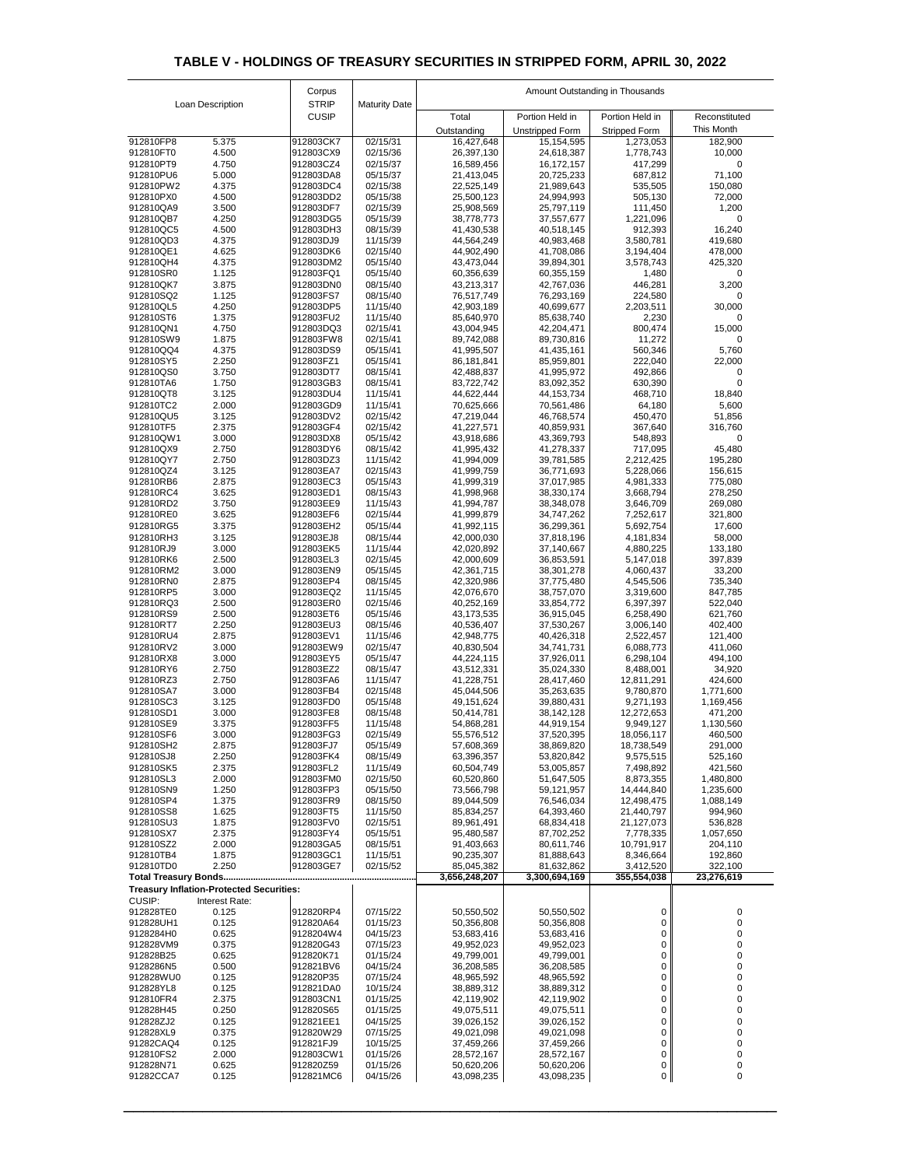| Loan Description       |                                                 | Corpus                       |                      |                          | Amount Outstanding in Thousands |                          |                      |
|------------------------|-------------------------------------------------|------------------------------|----------------------|--------------------------|---------------------------------|--------------------------|----------------------|
|                        |                                                 | <b>STRIP</b><br><b>CUSIP</b> | <b>Maturity Date</b> | Total                    | Portion Held in                 | Portion Held in          | Reconstituted        |
|                        |                                                 |                              |                      | Outstanding              | <b>Unstripped Form</b>          | <b>Stripped Form</b>     | This Month           |
| 912810FP8              | 5.375                                           | 912803CK7                    | 02/15/31             | 16,427,648               | 15,154,595                      | 1,273,053                | 182,900              |
| 912810FT0<br>912810PT9 | 4.500<br>4.750                                  | 912803CX9<br>912803CZ4       | 02/15/36<br>02/15/37 | 26,397,130<br>16,589,456 | 24,618,387<br>16,172,157        | 1,778,743<br>417,299     | 10,000<br>$\Omega$   |
| 912810PU6              | 5.000                                           | 912803DA8                    | 05/15/37             | 21,413,045               | 20,725,233                      | 687,812                  | 71,100               |
| 912810PW2              | 4.375                                           | 912803DC4                    | 02/15/38             | 22,525,149               | 21,989,643                      | 535,505                  | 150,080              |
| 912810PX0<br>912810QA9 | 4.500<br>3.500                                  | 912803DD2<br>912803DF7       | 05/15/38<br>02/15/39 | 25,500,123<br>25,908,569 | 24,994,993<br>25,797,119        | 505,130<br>111,450       | 72,000<br>1,200      |
| 912810QB7              | 4.250                                           | 912803DG5                    | 05/15/39             | 38,778,773               | 37,557,677                      | 1,221,096                | $\Omega$             |
| 912810QC5<br>912810QD3 | 4.500<br>4.375                                  | 912803DH3<br>912803DJ9       | 08/15/39<br>11/15/39 | 41,430,538<br>44,564,249 | 40,518,145<br>40,983,468        | 912,393<br>3,580,781     | 16,240<br>419,680    |
| 912810QE1              | 4.625                                           | 912803DK6                    | 02/15/40             | 44,902,490               | 41,708,086                      | 3,194,404                | 478,000              |
| 912810QH4              | 4.375                                           | 912803DM2                    | 05/15/40             | 43,473,044               | 39,894,301                      | 3,578,743                | 425,320              |
| 912810SR0<br>912810QK7 | 1.125<br>3.875                                  | 912803FQ1<br>912803DN0       | 05/15/40<br>08/15/40 | 60,356,639<br>43,213,317 | 60,355,159<br>42,767,036        | 1,480<br>446,281         | $\Omega$<br>3,200    |
| 912810SQ2              | 1.125                                           | 912803FS7                    | 08/15/40             | 76,517,749               | 76,293,169                      | 224,580                  | $\Omega$             |
| 912810QL5              | 4.250                                           | 912803DP5                    | 11/15/40             | 42,903,189               | 40,699,677                      | 2,203,511                | 30,000               |
| 912810ST6<br>912810QN1 | 1.375<br>4.750                                  | 912803FU2<br>912803DQ3       | 11/15/40<br>02/15/41 | 85,640,970<br>43,004,945 | 85,638,740<br>42,204,471        | 2,230<br>800,474         | 0<br>15,000          |
| 912810SW9              | 1.875                                           | 912803FW8                    | 02/15/41             | 89,742,088               | 89,730,816                      | 11,272                   | $\Omega$             |
| 912810QQ4<br>912810SY5 | 4.375<br>2.250                                  | 912803DS9<br>912803FZ1       | 05/15/41<br>05/15/41 | 41,995,507<br>86,181,841 | 41,435,161<br>85,959,801        | 560,346<br>222,040       | 5,760<br>22,000      |
| 912810QS0              | 3.750                                           | 912803DT7                    | 08/15/41             | 42,488,837               | 41,995,972                      | 492,866                  | $\Omega$             |
| 912810TA6              | 1.750                                           | 912803GB3                    | 08/15/41             | 83,722,742               | 83,092,352                      | 630,390                  | $\Omega$             |
| 912810QT8<br>912810TC2 | 3.125<br>2.000                                  | 912803DU4<br>912803GD9       | 11/15/41<br>11/15/41 | 44,622,444<br>70,625,666 | 44, 153, 734<br>70,561,486      | 468,710<br>64,180        | 18,840<br>5,600      |
| 912810QU5              | 3.125                                           | 912803DV2                    | 02/15/42             | 47,219,044               | 46,768,574                      | 450,470                  | 51,856               |
| 912810TF5              | 2.375                                           | 912803GF4                    | 02/15/42             | 41,227,571               | 40,859,931                      | 367,640                  | 316,760              |
| 912810QW1<br>912810QX9 | 3.000<br>2.750                                  | 912803DX8<br>912803DY6       | 05/15/42<br>08/15/42 | 43,918,686<br>41,995,432 | 43,369,793<br>41,278,337        | 548,893<br>717,095       | $\Omega$<br>45,480   |
| 912810QY7              | 2.750                                           | 912803DZ3                    | 11/15/42             | 41,994,009               | 39,781,585                      | 2,212,425                | 195,280              |
| 912810QZ4<br>912810RB6 | 3.125<br>2.875                                  | 912803EA7<br>912803EC3       | 02/15/43<br>05/15/43 | 41,999,759<br>41,999,319 | 36,771,693<br>37,017,985        | 5,228,066<br>4,981,333   | 156,615<br>775,080   |
| 912810RC4              | 3.625                                           | 912803ED1                    | 08/15/43             | 41,998,968               | 38,330,174                      | 3,668,794                | 278,250              |
| 912810RD2              | 3.750                                           | 912803EE9                    | 11/15/43             | 41,994,787               | 38,348,078                      | 3,646,709                | 269,080              |
| 912810RE0<br>912810RG5 | 3.625<br>3.375                                  | 912803EF6<br>912803EH2       | 02/15/44<br>05/15/44 | 41,999,879<br>41,992,115 | 34,747,262<br>36,299,361        | 7,252,617<br>5,692,754   | 321,800<br>17,600    |
| 912810RH3              | 3.125                                           | 912803EJ8                    | 08/15/44             | 42,000,030               | 37,818,196                      | 4,181,834                | 58,000               |
| 912810RJ9              | 3.000                                           | 912803EK5                    | 11/15/44             | 42,020,892               | 37,140,667                      | 4,880,225                | 133,180              |
| 912810RK6<br>912810RM2 | 2.500<br>3.000                                  | 912803EL3<br>912803EN9       | 02/15/45<br>05/15/45 | 42,000,609<br>42,361,715 | 36,853,591<br>38,301,278        | 5,147,018<br>4,060,437   | 397,839<br>33,200    |
| 912810RN0              | 2.875                                           | 912803EP4                    | 08/15/45             | 42,320,986               | 37,775,480                      | 4,545,506                | 735,340              |
| 912810RP5<br>912810RQ3 | 3.000<br>2.500                                  | 912803EQ2<br>912803ER0       | 11/15/45<br>02/15/46 | 42,076,670               | 38,757,070                      | 3,319,600                | 847,785              |
| 912810RS9              | 2.500                                           | 912803ET6                    | 05/15/46             | 40,252,169<br>43,173,535 | 33,854,772<br>36,915,045        | 6,397,397<br>6,258,490   | 522,040<br>621,760   |
| 912810RT7              | 2.250                                           | 912803EU3                    | 08/15/46             | 40,536,407               | 37,530,267                      | 3,006,140                | 402,400              |
| 912810RU4<br>912810RV2 | 2.875<br>3.000                                  | 912803EV1<br>912803EW9       | 11/15/46<br>02/15/47 | 42,948,775<br>40,830,504 | 40,426,318<br>34,741,731        | 2,522,457<br>6,088,773   | 121,400<br>411,060   |
| 912810RX8              | 3.000                                           | 912803EY5                    | 05/15/47             | 44,224,115               | 37,926,011                      | 6,298,104                | 494,100              |
| 912810RY6              | 2.750                                           | 912803EZ2                    | 08/15/47             | 43,512,331               | 35,024,330                      | 8,488,001                | 34,920               |
| 912810RZ3<br>912810SA7 | 2.750<br>3.000                                  | 912803FA6<br>912803FB4       | 11/15/47<br>02/15/48 | 41,228,751<br>45,044,506 | 28,417,460<br>35,263,635        | 12,811,291<br>9,780,870  | 424,600<br>1,771,600 |
| 912810SC3              | 3.125                                           | 912803FD0                    | 05/15/48             | 49,151,624               | 39,880,431                      | 9,271,193                | 1,169,456            |
| 912810SD1<br>912810SE9 | 3.000<br>3.375                                  | 912803FE8<br>912803FF5       | 08/15/48<br>11/15/48 | 50,414,781<br>54,868,281 | 38,142,128<br>44,919,154        | 12,272,653<br>9,949,127  | 471,200<br>1,130,560 |
| 912810SF6              | 3.000                                           | 912803FG3                    | 02/15/49             | 55,576,512               | 37,520,395                      | 18,056,117               | 460,500              |
| 912810SH2              | 2.875                                           | 912803FJ7                    | 05/15/49             | 57,608,369               | 38,869,820                      | 18,738,549               | 291,000              |
| 912810SJ8<br>912810SK5 | 2.250<br>2.375                                  | 912803FK4<br>912803FL2       | 08/15/49<br>11/15/49 | 63,396,357<br>60,504,749 | 53,820,842<br>53,005,857        | 9,575,515<br>7,498,892   | 525,160<br>421,560   |
| 912810SL3              | 2.000                                           | 912803FM0                    | 02/15/50             | 60,520,860               | 51,647,505                      | 8,873,355                | 1,480,800            |
| 912810SN9              | 1.250                                           | 912803FP3                    | 05/15/50             | 73,566,798               | 59,121,957                      | 14,444,840               | 1,235,600            |
| 912810SP4<br>912810SS8 | 1.375<br>1.625                                  | 912803FR9<br>912803FT5       | 08/15/50<br>11/15/50 | 89,044,509<br>85,834,257 | 76,546,034<br>64,393,460        | 12,498,475<br>21,440,797 | 1,088,149<br>994,960 |
| 912810SU3              | 1.875                                           | 912803FV0                    | 02/15/51             | 89,961,491               | 68,834,418                      | 21,127,073               | 536,828              |
| 912810SX7<br>912810SZ2 | 2.375<br>2.000                                  | 912803FY4<br>912803GA5       | 05/15/51<br>08/15/51 | 95,480,587<br>91,403,663 | 87,702,252<br>80,611,746        | 7,778,335<br>10,791,917  | 1,057,650<br>204,110 |
| 912810TB4              | 1.875                                           | 912803GC1                    | 11/15/51             | 90,235,307               | 81,888,643                      | 8,346,664                | 192,860              |
| 912810TD0              | 2.250                                           | 912803GE7                    | 02/15/52             | 85,045,382               | 81,632,862                      | 3,412,520                | 322,100              |
|                        | <b>Treasury Inflation-Protected Securities:</b> |                              |                      | 3,656,248,207            | 3,300,694,169                   | 355,554,038              | 23,276,619           |
| <b>CUSIP:</b>          | Interest Rate:                                  |                              |                      |                          |                                 |                          |                      |
| 912828TE0<br>912828UH1 | 0.125                                           | 912820RP4                    | 07/15/22             | 50,550,502               | 50,550,502                      | $\overline{0}$           | $\Omega$             |
| 9128284H0              | 0.125<br>0.625                                  | 912820A64<br>9128204W4       | 01/15/23<br>04/15/23 | 50,356,808<br>53,683,416 | 50,356,808<br>53,683,416        | $\overline{0}$<br>0      |                      |
| 912828VM9              | 0.375                                           | 912820G43                    | 07/15/23             | 49,952,023               | 49,952,023                      | 0                        |                      |
| 912828B25<br>9128286N5 | 0.625<br>0.500                                  | 912820K71<br>912821BV6       | 01/15/24<br>04/15/24 | 49,799,001<br>36,208,585 | 49,799,001<br>36,208,585        | $\overline{0}$<br>0      |                      |
| 912828WU0              | 0.125                                           | 912820P35                    | 07/15/24             | 48,965,592               | 48,965,592                      | 0                        |                      |
| 912828YL8              | 0.125                                           | 912821DA0                    | 10/15/24             | 38,889,312               | 38,889,312                      | 0                        |                      |
| 912810FR4<br>912828H45 | 2.375<br>0.250                                  | 912803CN1<br>912820S65       | 01/15/25<br>01/15/25 | 42,119,902<br>49,075,511 | 42,119,902<br>49,075,511        | 0<br>$\overline{0}$      |                      |
| 912828ZJ2              | 0.125                                           | 912821EE1                    | 04/15/25             | 39,026,152               | 39,026,152                      | 0                        |                      |
| 912828XL9              | 0.375                                           | 912820W29                    | 07/15/25             | 49,021,098               | 49,021,098                      | 0                        |                      |
| 91282CAQ4<br>912810FS2 | 0.125<br>2.000                                  | 912821FJ9<br>912803CW1       | 10/15/25<br>01/15/26 | 37,459,266<br>28,572,167 | 37,459,266<br>28,572,167        | $\overline{0}$<br>0      |                      |
| 912828N71              | 0.625                                           | 912820Z59                    | 01/15/26             | 50,620,206               | 50,620,206                      | 0                        | 0                    |
| 91282CCA7              | 0.125                                           | 912821MC6                    | 04/15/26             | 43,098,235               | 43,098,235                      | $\overline{0}$           | 0                    |